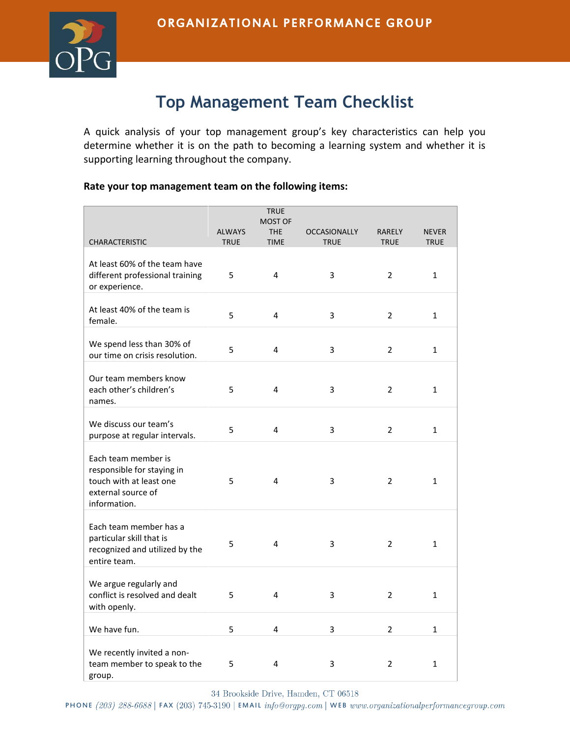

## **Top Management Team Checklist**

A quick analysis of your top management group's key characteristics can help you determine whether it is on the path to becoming a learning system and whether it is supporting learning throughout the company.

## **Rate your top management team on the following items:**

| <b>TRUE</b><br><b>MOST OF</b>                                                                                      |                              |                           |                                    |                              |                             |  |  |  |
|--------------------------------------------------------------------------------------------------------------------|------------------------------|---------------------------|------------------------------------|------------------------------|-----------------------------|--|--|--|
| <b>CHARACTERISTIC</b>                                                                                              | <b>ALWAYS</b><br><b>TRUE</b> | <b>THE</b><br><b>TIME</b> | <b>OCCASIONALLY</b><br><b>TRUE</b> | <b>RARELY</b><br><b>TRUE</b> | <b>NEVER</b><br><b>TRUE</b> |  |  |  |
| At least 60% of the team have<br>different professional training<br>or experience.                                 | 5                            | $\overline{4}$            | 3                                  | $\overline{2}$               | 1                           |  |  |  |
| At least 40% of the team is<br>female.                                                                             | 5                            | $\overline{4}$            | 3                                  | $\overline{2}$               | $\mathbf{1}$                |  |  |  |
| We spend less than 30% of<br>our time on crisis resolution.                                                        | 5                            | 4                         | 3                                  | $\overline{2}$               | $\mathbf{1}$                |  |  |  |
| Our team members know<br>each other's children's<br>names.                                                         | 5                            | 4                         | 3                                  | $\overline{2}$               | 1                           |  |  |  |
| We discuss our team's<br>purpose at regular intervals.                                                             | 5                            | 4                         | 3                                  | $\overline{2}$               | $\mathbf{1}$                |  |  |  |
| Each team member is<br>responsible for staying in<br>touch with at least one<br>external source of<br>information. | 5                            | 4                         | 3                                  | $\overline{2}$               | $\mathbf{1}$                |  |  |  |
| Each team member has a<br>particular skill that is<br>recognized and utilized by the<br>entire team.               | 5                            | $\overline{4}$            | 3                                  | $\overline{2}$               | $\mathbf{1}$                |  |  |  |
| We argue regularly and<br>conflict is resolved and dealt<br>with openly.                                           | 5                            | $\overline{\mathbf{4}}$   | 3                                  | $\overline{2}$               | $\mathbf{1}$                |  |  |  |
| We have fun.                                                                                                       | 5                            | 4                         | 3                                  | $\overline{2}$               | $\mathbf{1}$                |  |  |  |
| We recently invited a non-<br>team member to speak to the<br>group.                                                | 5                            | 4                         | 3                                  | $\overline{2}$               | 1                           |  |  |  |

34 Brookside Drive, Hamden, CT 06518

PHONE(203) 288-6688 | FAX (203) 745-3190 | EMAIL info@orgpg.com | WEB www.organizationalperformancegroup.com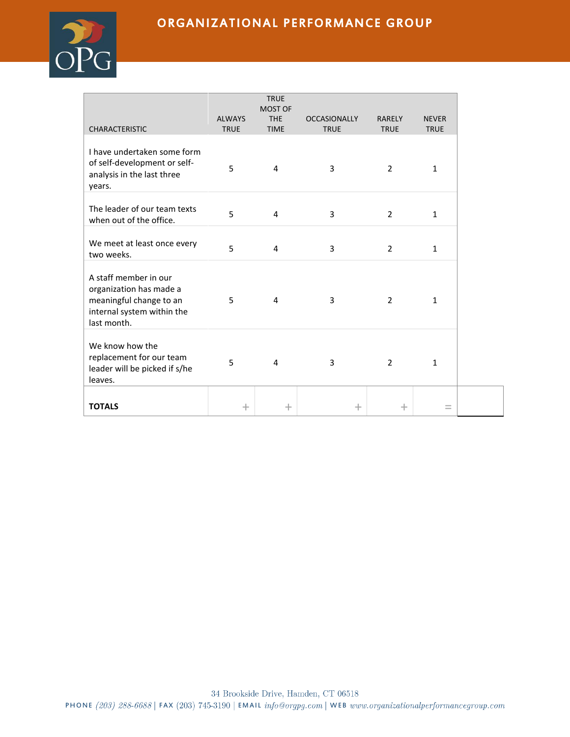## ORGANIZATIONAL PERFORMANCE GROUP



| <b>CHARACTERISTIC</b>                                                                                                    | <b>ALWAYS</b><br><b>TRUE</b> | <b>TRUE</b><br><b>MOST OF</b><br><b>THE</b><br><b>TIME</b> | <b>OCCASIONALLY</b><br><b>TRUE</b> | <b>RARELY</b><br><b>TRUE</b> | <b>NEVER</b><br><b>TRUE</b> |
|--------------------------------------------------------------------------------------------------------------------------|------------------------------|------------------------------------------------------------|------------------------------------|------------------------------|-----------------------------|
|                                                                                                                          |                              |                                                            |                                    |                              |                             |
| I have undertaken some form<br>of self-development or self-<br>analysis in the last three<br>years.                      | 5                            | 4                                                          | 3                                  | $\overline{2}$               | 1                           |
| The leader of our team texts<br>when out of the office.                                                                  | 5                            | 4                                                          | 3                                  | 2                            | $\mathbf{1}$                |
| We meet at least once every<br>two weeks.                                                                                | 5                            | 4                                                          | 3                                  | $\overline{2}$               | 1                           |
| A staff member in our<br>organization has made a<br>meaningful change to an<br>internal system within the<br>last month. | 5                            | 4                                                          | 3                                  | $\overline{2}$               | $\mathbf{1}$                |
| We know how the<br>replacement for our team<br>leader will be picked if s/he<br>leaves.                                  | 5                            | 4                                                          | 3                                  | $\overline{2}$               | 1                           |
| <b>TOTALS</b>                                                                                                            | $\pm$                        | $\,+\,$                                                    | $\pm$                              | $\pm$                        |                             |